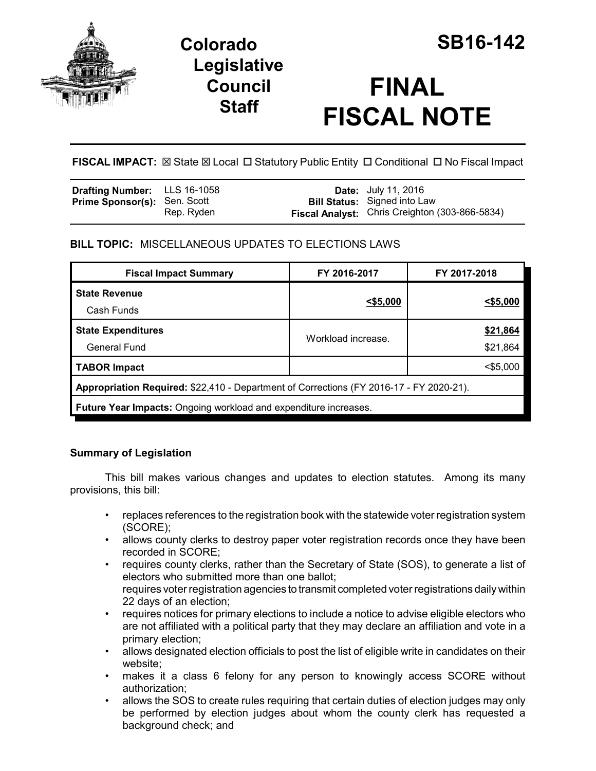

# **Colorado SB16-142 Legislative Council Staff**

# **FINAL FISCAL NOTE**

**FISCAL IMPACT:**  $\boxtimes$  State  $\boxtimes$  Local  $\Box$  Statutory Public Entity  $\Box$  Conditional  $\Box$  No Fiscal Impact

| <b>Drafting Number:</b> LLS 16-1058 |            | <b>Date:</b> July 11, 2016                     |
|-------------------------------------|------------|------------------------------------------------|
| <b>Prime Sponsor(s): Sen. Scott</b> |            | <b>Bill Status:</b> Signed into Law            |
|                                     | Rep. Ryden | Fiscal Analyst: Chris Creighton (303-866-5834) |

## **BILL TOPIC:** MISCELLANEOUS UPDATES TO ELECTIONS LAWS

| <b>Fiscal Impact Summary</b>                                                            | FY 2016-2017       | FY 2017-2018         |  |  |
|-----------------------------------------------------------------------------------------|--------------------|----------------------|--|--|
| <b>State Revenue</b><br>Cash Funds                                                      | $<$ \$5,000        | $<$ \$5,000          |  |  |
| <b>State Expenditures</b><br><b>General Fund</b>                                        | Workload increase. | \$21,864<br>\$21,864 |  |  |
| <b>TABOR Impact</b>                                                                     |                    | $<$ \$5,000          |  |  |
| Appropriation Required: \$22,410 - Department of Corrections (FY 2016-17 - FY 2020-21). |                    |                      |  |  |
| Future Year Impacts: Ongoing workload and expenditure increases.                        |                    |                      |  |  |

### **Summary of Legislation**

This bill makes various changes and updates to election statutes. Among its many provisions, this bill:

- replaces references to the registration book with the statewide voter registration system (SCORE);
- allows county clerks to destroy paper voter registration records once they have been recorded in SCORE;
- requires county clerks, rather than the Secretary of State (SOS), to generate a list of electors who submitted more than one ballot; requires voter registration agencies to transmit completed voter registrations daily within 22 days of an election;
- requires notices for primary elections to include a notice to advise eligible electors who are not affiliated with a political party that they may declare an affiliation and vote in a primary election;
- allows designated election officials to post the list of eligible write in candidates on their website;
- makes it a class 6 felony for any person to knowingly access SCORE without authorization;
- allows the SOS to create rules requiring that certain duties of election judges may only be performed by election judges about whom the county clerk has requested a background check; and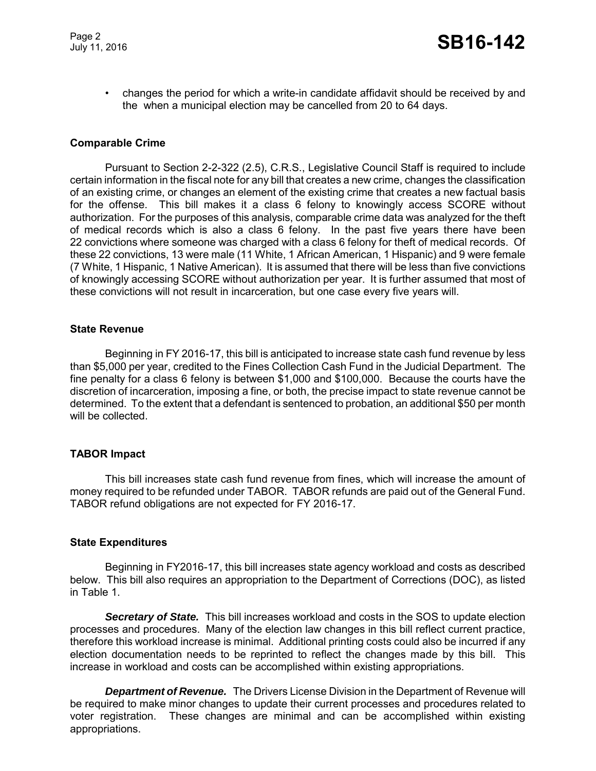• changes the period for which a write-in candidate affidavit should be received by and the when a municipal election may be cancelled from 20 to 64 days.

#### **Comparable Crime**

Pursuant to Section 2-2-322 (2.5), C.R.S., Legislative Council Staff is required to include certain information in the fiscal note for any bill that creates a new crime, changes the classification of an existing crime, or changes an element of the existing crime that creates a new factual basis for the offense. This bill makes it a class 6 felony to knowingly access SCORE without authorization. For the purposes of this analysis, comparable crime data was analyzed for the theft of medical records which is also a class 6 felony. In the past five years there have been 22 convictions where someone was charged with a class 6 felony for theft of medical records. Of these 22 convictions, 13 were male (11 White, 1 African American, 1 Hispanic) and 9 were female (7 White, 1 Hispanic, 1 Native American). It is assumed that there will be less than five convictions of knowingly accessing SCORE without authorization per year. It is further assumed that most of these convictions will not result in incarceration, but one case every five years will.

#### **State Revenue**

Beginning in FY 2016-17, this bill is anticipated to increase state cash fund revenue by less than \$5,000 per year, credited to the Fines Collection Cash Fund in the Judicial Department. The fine penalty for a class 6 felony is between \$1,000 and \$100,000. Because the courts have the discretion of incarceration, imposing a fine, or both, the precise impact to state revenue cannot be determined. To the extent that a defendant is sentenced to probation, an additional \$50 per month will be collected.

#### **TABOR Impact**

This bill increases state cash fund revenue from fines, which will increase the amount of money required to be refunded under TABOR. TABOR refunds are paid out of the General Fund. TABOR refund obligations are not expected for FY 2016-17.

#### **State Expenditures**

Beginning in FY2016-17, this bill increases state agency workload and costs as described below. This bill also requires an appropriation to the Department of Corrections (DOC), as listed in Table 1.

*Secretary of State.* This bill increases workload and costs in the SOS to update election processes and procedures. Many of the election law changes in this bill reflect current practice, therefore this workload increase is minimal. Additional printing costs could also be incurred if any election documentation needs to be reprinted to reflect the changes made by this bill. This increase in workload and costs can be accomplished within existing appropriations.

*Department of Revenue.* The Drivers License Division in the Department of Revenue will be required to make minor changes to update their current processes and procedures related to voter registration. These changes are minimal and can be accomplished within existing appropriations.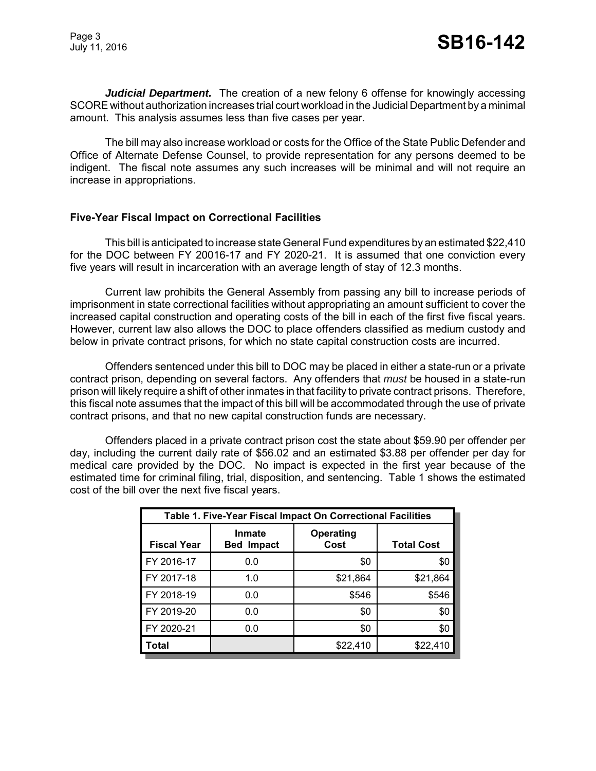*Judicial Department.* The creation of a new felony 6 offense for knowingly accessing SCORE without authorization increases trial court workload in the Judicial Department by a minimal amount. This analysis assumes less than five cases per year.

The bill may also increase workload or costs for the Office of the State Public Defender and Office of Alternate Defense Counsel, to provide representation for any persons deemed to be indigent. The fiscal note assumes any such increases will be minimal and will not require an increase in appropriations.

#### **Five-Year Fiscal Impact on Correctional Facilities**

This bill is anticipated to increase state General Fund expenditures by an estimated \$22,410 for the DOC between FY 20016-17 and FY 2020-21. It is assumed that one conviction every five years will result in incarceration with an average length of stay of 12.3 months.

Current law prohibits the General Assembly from passing any bill to increase periods of imprisonment in state correctional facilities without appropriating an amount sufficient to cover the increased capital construction and operating costs of the bill in each of the first five fiscal years. However, current law also allows the DOC to place offenders classified as medium custody and below in private contract prisons, for which no state capital construction costs are incurred.

Offenders sentenced under this bill to DOC may be placed in either a state-run or a private contract prison, depending on several factors. Any offenders that *must* be housed in a state-run prison will likely require a shift of other inmates in that facility to private contract prisons. Therefore, this fiscal note assumes that the impact of this bill will be accommodated through the use of private contract prisons, and that no new capital construction funds are necessary.

Offenders placed in a private contract prison cost the state about \$59.90 per offender per day, including the current daily rate of \$56.02 and an estimated \$3.88 per offender per day for medical care provided by the DOC. No impact is expected in the first year because of the estimated time for criminal filing, trial, disposition, and sentencing. Table 1 shows the estimated cost of the bill over the next five fiscal years.

| Table 1. Five-Year Fiscal Impact On Correctional Facilities |                                    |                          |                   |  |
|-------------------------------------------------------------|------------------------------------|--------------------------|-------------------|--|
| <b>Fiscal Year</b>                                          | <b>Inmate</b><br><b>Bed Impact</b> | <b>Operating</b><br>Cost | <b>Total Cost</b> |  |
| FY 2016-17                                                  | 0.0                                | \$0                      | \$0               |  |
| FY 2017-18                                                  | 1.0                                | \$21,864                 | \$21,864          |  |
| FY 2018-19                                                  | 0.0                                | \$546                    | \$546             |  |
| FY 2019-20                                                  | 0.0                                | \$0                      | \$0               |  |
| FY 2020-21                                                  | 0.0                                | \$0                      | \$0               |  |
| <b>Total</b>                                                |                                    | \$22,410                 | \$22,410          |  |